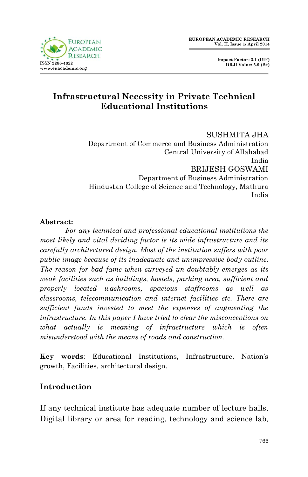

 **Impact Factor: 3.1 (UIF) DRJI Value: 5.9 (B+)**

# **Infrastructural Necessity in Private Technical Educational Institutions**

SUSHMITA JHA Department of Commerce and Business Administration Central University of Allahabad India BRIJESH GOSWAMI Department of Business Administration Hindustan College of Science and Technology, Mathura India

#### **Abstract:**

*For any technical and professional educational institutions the most likely and vital deciding factor is its wide infrastructure and its carefully architectured design. Most of the institution suffers with poor public image because of its inadequate and unimpressive body outline. The reason for bad fame when surveyed un-doubtably emerges as its weak facilities such as buildings, hostels, parking area, sufficient and properly located washrooms, spacious staffrooms as well as classrooms, telecommunication and internet facilities etc. There are sufficient funds invested to meet the expenses of augmenting the infrastructure. In this paper I have tried to clear the misconceptions on what actually is meaning of infrastructure which is often misunderstood with the means of roads and construction.*

**Key words**: Educational Institutions, Infrastructure, Nation's growth, Facilities, architectural design.

## **Introduction**

If any technical institute has adequate number of lecture halls, Digital library or area for reading, technology and science lab,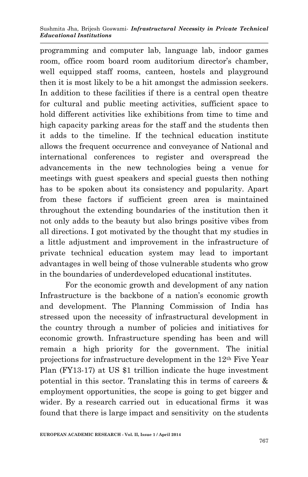programming and computer lab, language lab, indoor games room, office room board room auditorium director's chamber, well equipped staff rooms, canteen, hostels and playground then it is most likely to be a hit amongst the admission seekers. In addition to these facilities if there is a central open theatre for cultural and public meeting activities, sufficient space to hold different activities like exhibitions from time to time and high capacity parking areas for the staff and the students then it adds to the timeline. If the technical education institute allows the frequent occurrence and conveyance of National and international conferences to register and overspread the advancements in the new technologies being a venue for meetings with guest speakers and special guests then nothing has to be spoken about its consistency and popularity. Apart from these factors if sufficient green area is maintained throughout the extending boundaries of the institution then it not only adds to the beauty but also brings positive vibes from all directions. I got motivated by the thought that my studies in a little adjustment and improvement in the infrastructure of private technical education system may lead to important advantages in well being of those vulnerable students who grow in the boundaries of underdeveloped educational institutes.

For the economic growth and development of any nation Infrastructure is the backbone of a nation's economic growth and development. The Planning Commission of India has stressed upon the necessity of infrastructural development in the country through a number of policies and initiatives for economic growth. Infrastructure spending has been and will remain a high priority for the government. The initial projections for infrastructure development in the 12th Five Year Plan (FY13-17) at US \$1 trillion indicate the huge investment potential in this sector. Translating this in terms of careers & employment opportunities, the scope is going to get bigger and wider. By a research carried out in educational firms it was found that there is large impact and sensitivity on the students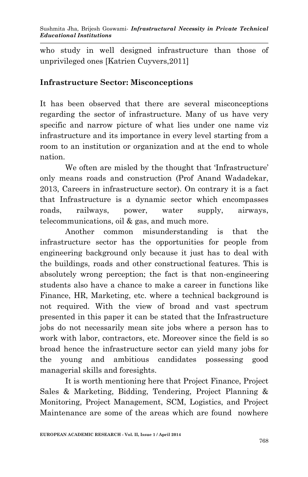who study in well designed infrastructure than those of unprivileged ones [Katrien Cuyvers,2011]

### **Infrastructure Sector: Misconceptions**

It has been observed that there are several misconceptions regarding the sector of infrastructure. Many of us have very specific and narrow picture of what lies under one name viz infrastructure and its importance in every level starting from a room to an institution or organization and at the end to whole nation.

We often are misled by the thought that 'Infrastructure' only means roads and construction (Prof Anand Wadadekar, 2013, Careers in infrastructure sector). On contrary it is a fact that Infrastructure is a dynamic sector which encompasses roads, railways, power, water supply, airways, telecommunications, oil & gas, and much more.

Another common misunderstanding is that the infrastructure sector has the opportunities for people from engineering background only because it just has to deal with the buildings, roads and other constructional features. This is absolutely wrong perception; the fact is that non-engineering students also have a chance to make a career in functions like Finance, HR, Marketing, etc. where a technical background is not required. With the view of broad and vast spectrum presented in this paper it can be stated that the Infrastructure jobs do not necessarily mean site jobs where a person has to work with labor, contractors, etc. Moreover since the field is so broad hence the infrastructure sector can yield many jobs for the young and ambitious candidates possessing good managerial skills and foresights.

It is worth mentioning here that Project Finance, Project Sales & Marketing, Bidding, Tendering, Project Planning & Monitoring, Project Management, SCM, Logistics, and Project Maintenance are some of the areas which are found nowhere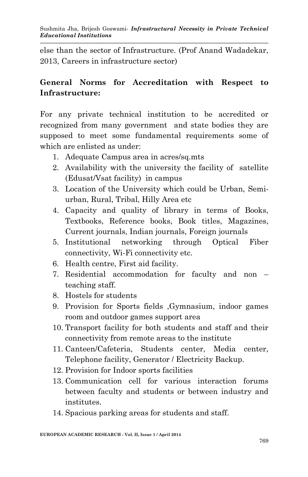else than the sector of Infrastructure. (Prof Anand Wadadekar, 2013, Careers in infrastructure sector)

# **General Norms for Accreditation with Respect to Infrastructure:**

For any private technical institution to be accredited or recognized from many government and state bodies they are supposed to meet some fundamental requirements some of which are enlisted as under:

- 1. Adequate Campus area in acres/sq.mts
- 2. Availability with the university the facility of satellite (Edusat/Vsat facility) in campus
- 3. Location of the University which could be Urban, Semiurban, Rural, Tribal, Hilly Area etc
- 4. Capacity and quality of library in terms of Books, Textbooks, Reference books, Book titles, Magazines, Current journals, Indian journals, Foreign journals
- 5. Institutional networking through Optical Fiber connectivity, Wi-Fi connectivity etc.
- 6. Health centre, First aid facility.
- 7. Residential accommodation for faculty and non teaching staff.
- 8. Hostels for students
- 9. Provision for Sports fields ,Gymnasium, indoor games room and outdoor games support area
- 10. Transport facility for both students and staff and their connectivity from remote areas to the institute
- 11. Canteen/Cafeteria, Students center, Media center, Telephone facility, Generator / Electricity Backup.
- 12. Provision for Indoor sports facilities
- 13. Communication cell for various interaction forums between faculty and students or between industry and institutes.
- 14. Spacious parking areas for students and staff.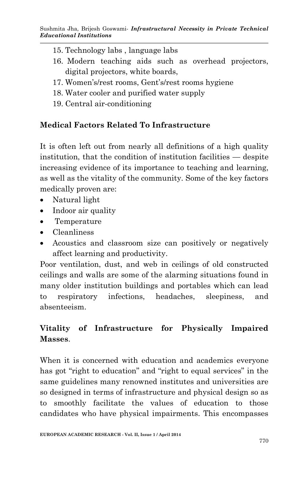- 15. Technology labs , language labs
- 16. Modern teaching aids such as overhead projectors, digital projectors, white boards,
- 17. Women's/rest rooms, Gent's/rest rooms hygiene
- 18. Water cooler and purified water supply
- 19. Central air-conditioning

# **Medical Factors Related To Infrastructure**

It is often left out from nearly all definitions of a high quality institution, that the condition of institution facilities — despite increasing evidence of its importance to teaching and learning, as well as the vitality of the community. Some of the key factors medically proven are:

- Natural light
- Indoor air quality
- Temperature
- Cleanliness
- Acoustics and classroom size can positively or negatively affect learning and productivity.

Poor ventilation, dust, and web in ceilings of old constructed ceilings and walls are some of the alarming situations found in many older institution buildings and portables which can lead to respiratory infections, headaches, sleepiness, and absenteeism.

# **Vitality of Infrastructure for Physically Impaired Masses**.

When it is concerned with education and academics everyone has got "right to education" and "right to equal services" in the same guidelines many renowned institutes and universities are so designed in terms of infrastructure and physical design so as to smoothly facilitate the values of education to those candidates who have physical impairments. This encompasses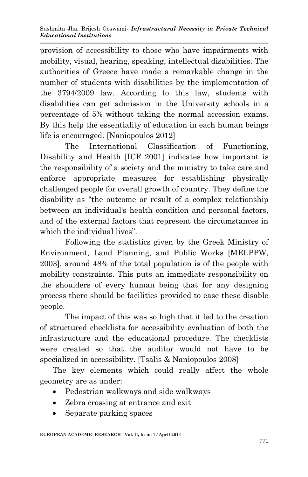provision of accessibility to those who have impairments with mobility, visual, hearing, speaking, intellectual disabilities. The authorities of Greece have made a remarkable change in the number of students with disabilities by the implementation of the 3794/2009 law. According to this law, students with disabilities can get admission in the University schools in a percentage of 5% without taking the normal accession exams. By this help the essentiality of education in each human beings life is encouraged. [Naniopoulos 2012]

The International Classification of Functioning, Disability and Health [ICF 2001] indicates how important is the responsibility of a society and the ministry to take care and enforce appropriate measures for establishing physically challenged people for overall growth of country. They define the disability as "the outcome or result of a complex relationship between an individual's health condition and personal factors, and of the external factors that represent the circumstances in which the individual lives".

Following the statistics given by the Greek Ministry of Environment, Land Planning, and Public Works [MELPPW, 2003], around 48% of the total population is of the people with mobility constraints. This puts an immediate responsibility on the shoulders of every human being that for any designing process there should be facilities provided to ease these disable people.

The impact of this was so high that it led to the creation of structured checklists for accessibility evaluation of both the infrastructure and the educational procedure. The checklists were created so that the auditor would not have to be specialized in accessibility. [Tsalis & Naniopoulos 2008]

The key elements which could really affect the whole geometry are as under:

- Pedestrian walkways and side walkways
- Zebra crossing at entrance and exit
- Separate parking spaces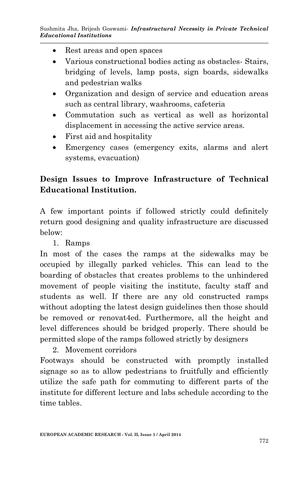- Rest areas and open spaces
- Various constructional bodies acting as obstacles- Stairs, bridging of levels, lamp posts, sign boards, sidewalks and pedestrian walks
- Organization and design of service and education areas such as central library, washrooms, cafeteria
- Commutation such as vertical as well as horizontal displacement in accessing the active service areas.
- First aid and hospitality
- Emergency cases (emergency exits, alarms and alert systems, evacuation)

# **Design Issues to Improve Infrastructure of Technical Educational Institution.**

A few important points if followed strictly could definitely return good designing and quality infrastructure are discussed below:

1. Ramps

In most of the cases the ramps at the sidewalks may be occupied by illegally parked vehicles. This can lead to the boarding of obstacles that creates problems to the unhindered movement of people visiting the institute, faculty staff and students as well. If there are any old constructed ramps without adopting the latest design guidelines then those should be removed or renovat4ed. Furthermore, all the height and level differences should be bridged properly. There should be permitted slope of the ramps followed strictly by designers

2. Movement corridors Footways should be constructed with promptly installed signage so as to allow pedestrians to fruitfully and efficiently utilize the safe path for commuting to different parts of the institute for different lecture and labs schedule according to the time tables.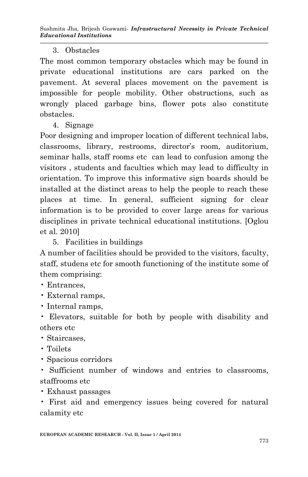### 3. Obstacles

The most common temporary obstacles which may be found in private educational institutions are cars parked on the pavement. At several places movement on the pavement is impossible for people mobility. Other obstructions, such as wrongly placed garbage bins, flower pots also constitute obstacles.

4. Signage

Poor designing and improper location of different technical labs, classrooms, library, restrooms, director's room, auditorium, seminar halls, staff rooms etc can lead to confusion among the visitors , students and faculties which may lead to difficulty in orientation. To improve this informative sign boards should be installed at the distinct areas to help the people to reach these places at time. In general, sufficient signing for clear information is to be provided to cover large areas for various disciplines in private technical educational institutions. [Oglou et al. 2010]

5. Facilities in buildings

A number of facilities should be provided to the visitors, faculty, staff, studens etc for smooth functioning of the institute some of them comprising:

- Entrances,
- External ramps,
- Internal ramps,

• Elevators, suitable for both by people with disability and others etc

- Staircases,
- Toilets
- Spacious corridors

• Sufficient number of windows and entries to classrooms, staffrooms etc

• Exhaust passages

• First aid and emergency issues being covered for natural calamity etc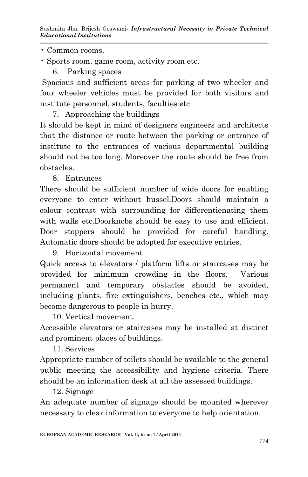• Common rooms.

- Sports room, game room, activity room etc.
	- 6. Parking spaces

Spacious and sufficient areas for parking of two wheeler and four wheeler vehicles must be provided for both visitors and institute personnel, students, faculties etc

7. Approaching the buildings

It should be kept in mind of designers engineers and architects that the distance or route between the parking or entrance of institute to the entrances of various departmental building should not be too long. Moreover the route should be free from obstacles.

8. Entrances

There should be sufficient number of wide doors for enabling everyone to enter without hussel.Doors should maintain a colour contrast with surrounding for differentienating them with walls etc.Doorknobs should be easy to use and efficient. Door stoppers should be provided for careful handling. Automatic doors should be adopted for executive entries.

9. Horizontal movement

Quick access to elevators / platform lifts or staircases may be provided for minimum crowding in the floors. Various permanent and temporary obstacles should be avoided, including plants, fire extinguishers, benches etc., which may become dangerous to people in hurry.

10. Vertical movement.

Accessible elevators or staircases may be installed at distinct and prominent places of buildings.

11. Services

Appropriate number of toilets should be available to the general public meeting the accessibility and hygiene criteria. There should be an information desk at all the assessed buildings.

12. Signage

An adequate number of signage should be mounted wherever necessary to clear information to everyone to help orientation.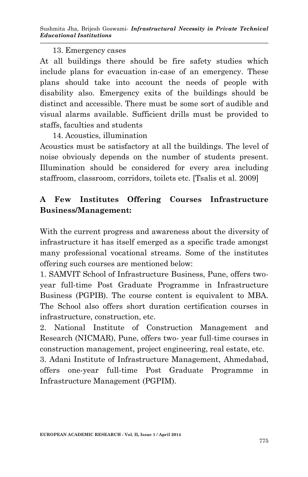#### 13. Emergency cases

At all buildings there should be fire safety studies which include plans for evacuation in-case of an emergency. These plans should take into account the needs of people with disability also. Emergency exits of the buildings should be distinct and accessible. There must be some sort of audible and visual alarms available. Sufficient drills must be provided to staffs, faculties and students

14. Acoustics, illumination

Acoustics must be satisfactory at all the buildings. The level of noise obviously depends on the number of students present. Illumination should be considered for every area including staffroom, classroom, corridors, toilets etc. [Tsalis et al. 2009]

# **A Few Institutes Offering Courses Infrastructure Business/Management:**

With the current progress and awareness about the diversity of infrastructure it has itself emerged as a specific trade amongst many professional vocational streams. Some of the institutes offering such courses are mentioned below:

1. SAMVIT School of Infrastructure Business, Pune, offers twoyear full-time Post Graduate Programme in Infrastructure Business (PGPIB). The course content is equivalent to MBA. The School also offers short duration certification courses in infrastructure, construction, etc.

2. National Institute of Construction Management and Research (NICMAR), Pune, offers two- year full-time courses in construction management, project engineering, real estate, etc.

3. Adani Institute of Infrastructure Management, Ahmedabad, offers one-year full-time Post Graduate Programme in Infrastructure Management (PGPIM).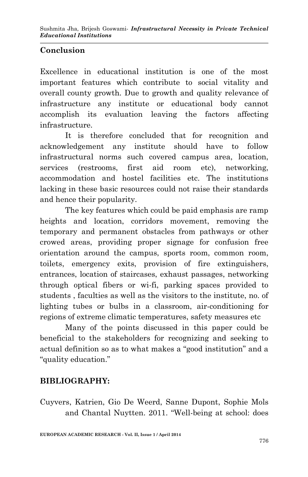# **Conclusion**

Excellence in educational institution is one of the most important features which contribute to social vitality and overall county growth. Due to growth and quality relevance of infrastructure any institute or educational body cannot accomplish its evaluation leaving the factors affecting infrastructure.

It is therefore concluded that for recognition and acknowledgement any institute should have to follow infrastructural norms such covered campus area, location, services (restrooms, first aid room etc), networking, accommodation and hostel facilities etc. The institutions lacking in these basic resources could not raise their standards and hence their popularity.

The key features which could be paid emphasis are ramp heights and location, corridors movement, removing the temporary and permanent obstacles from pathways or other crowed areas, providing proper signage for confusion free orientation around the campus, sports room, common room, toilets, emergency exits, provision of fire extinguishers, entrances, location of staircases, exhaust passages, networking through optical fibers or wi-fi, parking spaces provided to students , faculties as well as the visitors to the institute, no. of lighting tubes or bulbs in a classroom, air-conditioning for regions of extreme climatic temperatures, safety measures etc

Many of the points discussed in this paper could be beneficial to the stakeholders for recognizing and seeking to actual definition so as to what makes a "good institution" and a "quality education."

## **BIBLIOGRAPHY:**

Cuyvers, Katrien, Gio De Weerd, Sanne Dupont, Sophie Mols and Chantal Nuytten. 2011. "Well-being at school: does